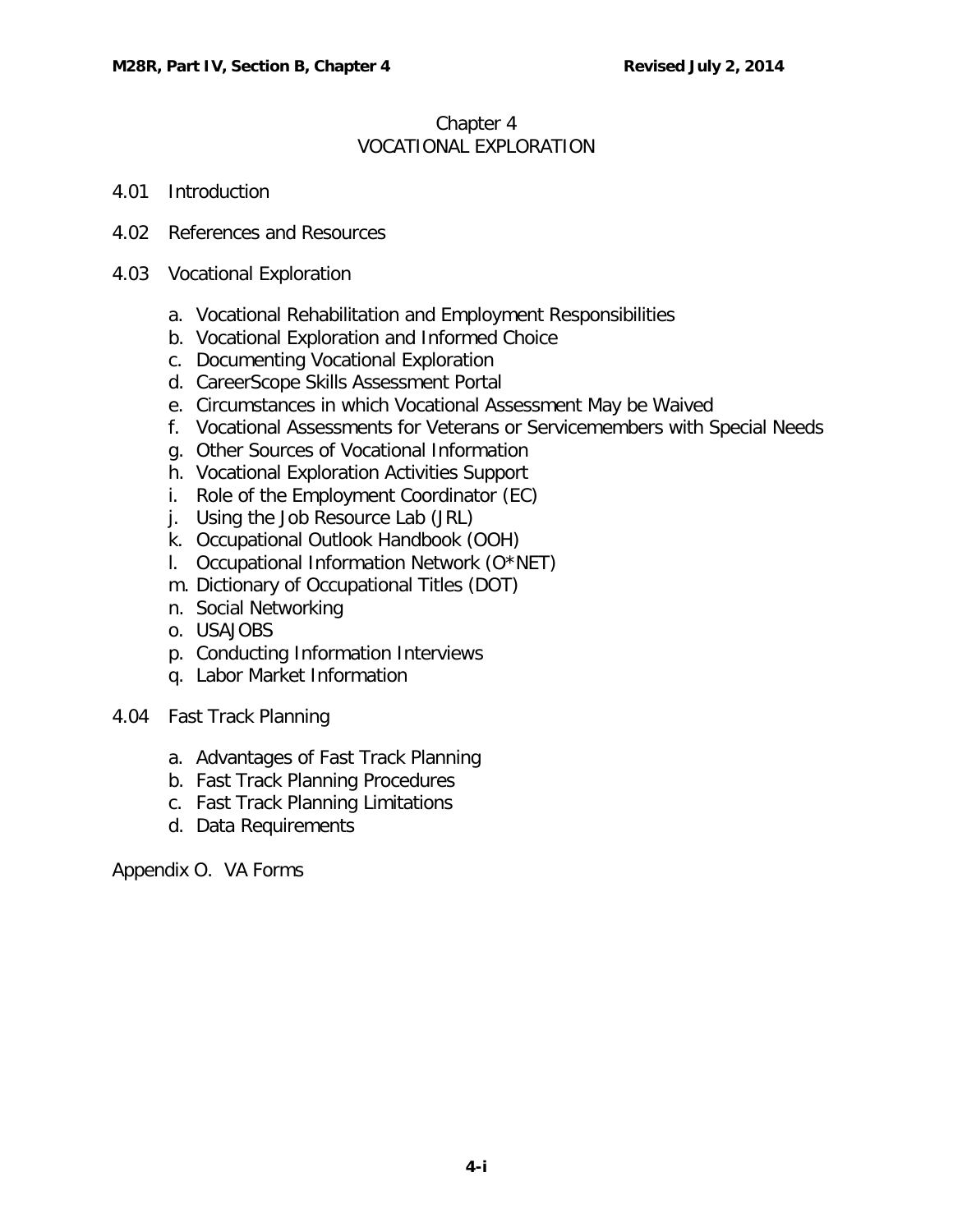## Chapter 4 VOCATIONAL EXPLORATION

- 4.01 [Introduction](#page-1-0)
- 4.02 [References and Resources](#page-1-1)
- 4.03 [Vocational Exploration](#page-1-2)
	- a. [Vocational Rehabilitation and Employment Responsibilities](#page-1-3)
	- b. [Vocational Exploration and Informed Choice](#page-2-0)
	- c. [Documenting Vocational Exploration](#page-2-1)
	- d. [CareerScope Skills Assessment Portal](#page-5-0)
	- e. [Circumstances in which Vocational Assessment May be Waived](#page-5-1)
	- f. [Vocational Assessments for Veterans or Servicemembers with Special Needs](#page-6-0)
	- g. [Other Sources of Vocational Information](#page-7-0)
	- h. [Vocational Exploration Activities Support](#page-8-0)
	- i. [Role of the Employment Coordinator \(EC\)](#page-8-1)
	- j. [Using the Job Resource Lab \(JRL\)](#page-8-2)
	- k. [Occupational Outlook Handbook \(OOH\)](#page-9-0)
	- l. [Occupational Information Network \(O\\*NET\)](#page-9-1)
	- m. [Dictionary of Occupational Titles \(DOT\)](#page-10-0)
	- n. [Social Networking](#page-11-0)
	- o. [USAJOBS](#page-12-0)
	- p. [Conducting Information Interviews](#page-12-1)
	- q. [Labor Market Information](#page-12-2)
- 4.04 [Fast Track Planning](#page-13-0)
	- a. [Advantages of Fast Track Planning](#page-13-1)
	- b. [Fast Track Planning Procedures](#page-13-2)
	- c. [Fast Track Planning Limitations](#page-15-0)
	- d. [Data Requirements](#page-16-0)

Appendix O. VA Forms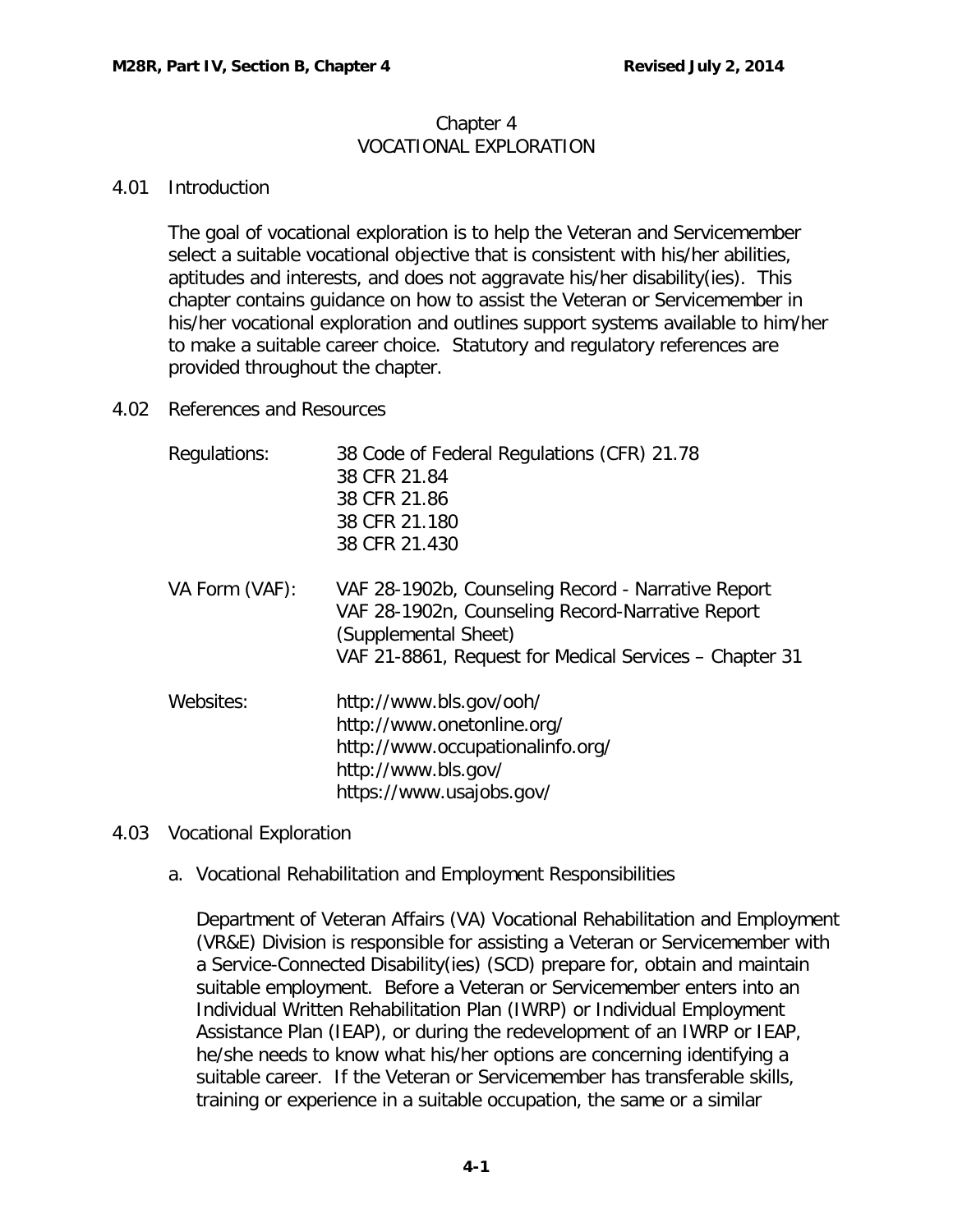#### Chapter 4 VOCATIONAL EXPLORATION

### <span id="page-1-0"></span>4.01 Introduction

The goal of vocational exploration is to help the Veteran and Servicemember select a suitable vocational objective that is consistent with his/her abilities, aptitudes and interests, and does not aggravate his/her disability(ies). This chapter contains guidance on how to assist the Veteran or Servicemember in his/her vocational exploration and outlines support systems available to him/her to make a suitable career choice. Statutory and regulatory references are provided throughout the chapter.

### <span id="page-1-1"></span>4.02 References and Resources

| Regulations:   | 38 Code of Federal Regulations (CFR) 21.78<br>38 CFR 21.84<br>38 CFR 21.86<br>38 CFR 21.180<br>38 CFR 21.430                                                                             |
|----------------|------------------------------------------------------------------------------------------------------------------------------------------------------------------------------------------|
| VA Form (VAF): | VAF 28-1902b, Counseling Record - Narrative Report<br>VAF 28-1902n, Counseling Record-Narrative Report<br>(Supplemental Sheet)<br>VAF 21-8861, Request for Medical Services - Chapter 31 |
| Websites:      | http://www.bls.gov/ooh/<br>http://www.onetonline.org/<br>http://www.occupationalinfo.org/<br>http://www.bls.gov/<br>https://www.usajobs.gov/                                             |

## <span id="page-1-3"></span><span id="page-1-2"></span>4.03 Vocational Exploration

a. Vocational Rehabilitation and Employment Responsibilities

Department of Veteran Affairs (VA) Vocational Rehabilitation and Employment (VR&E) Division is responsible for assisting a Veteran or Servicemember with a Service-Connected Disability(ies) (SCD) prepare for, obtain and maintain suitable employment. Before a Veteran or Servicemember enters into an Individual Written Rehabilitation Plan (IWRP) or Individual Employment Assistance Plan (IEAP), or during the redevelopment of an IWRP or IEAP, he/she needs to know what his/her options are concerning identifying a suitable career. If the Veteran or Servicemember has transferable skills, training or experience in a suitable occupation, the same or a similar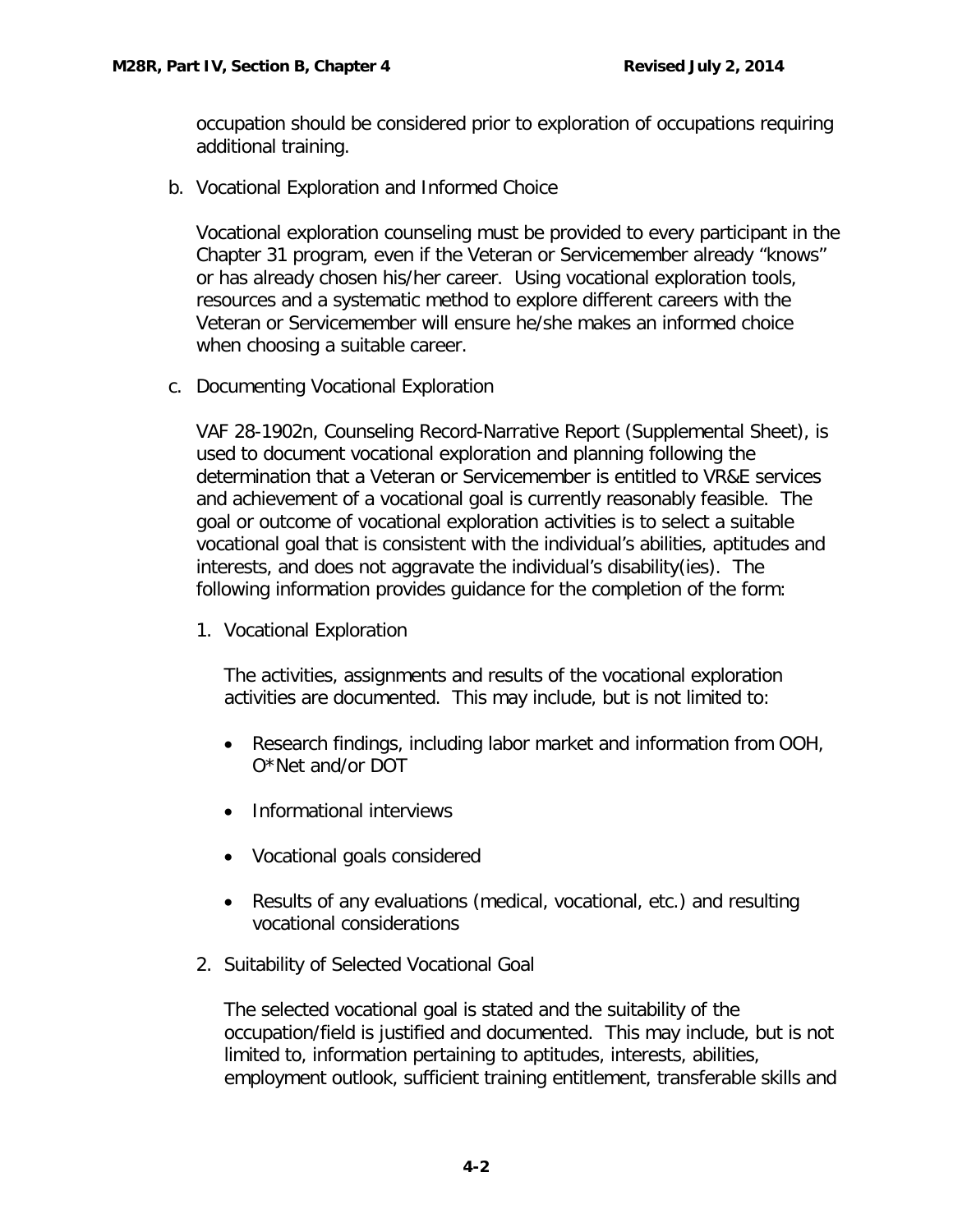occupation should be considered prior to exploration of occupations requiring additional training.

<span id="page-2-0"></span>b. Vocational Exploration and Informed Choice

Vocational exploration counseling must be provided to every participant in the Chapter 31 program, even if the Veteran or Servicemember already "knows" or has already chosen his/her career. Using vocational exploration tools, resources and a systematic method to explore different careers with the Veteran or Servicemember will ensure he/she makes an informed choice when choosing a suitable career.

<span id="page-2-1"></span>c. Documenting Vocational Exploration

VAF 28-1902n, Counseling Record-Narrative Report (Supplemental Sheet), is used to document vocational exploration and planning following the determination that a Veteran or Servicemember is entitled to VR&E services and achievement of a vocational goal is currently reasonably feasible. The goal or outcome of vocational exploration activities is to select a suitable vocational goal that is consistent with the individual's abilities, aptitudes and interests, and does not aggravate the individual's disability(ies). The following information provides guidance for the completion of the form:

1. Vocational Exploration

The activities, assignments and results of the vocational exploration activities are documented. This may include, but is not limited to:

- Research findings, including labor market and information from OOH, O\*Net and/or DOT
- Informational interviews
- Vocational goals considered
- Results of any evaluations (medical, vocational, etc.) and resulting vocational considerations
- 2. Suitability of Selected Vocational Goal

The selected vocational goal is stated and the suitability of the occupation/field is justified and documented. This may include, but is not limited to, information pertaining to aptitudes, interests, abilities, employment outlook, sufficient training entitlement, transferable skills and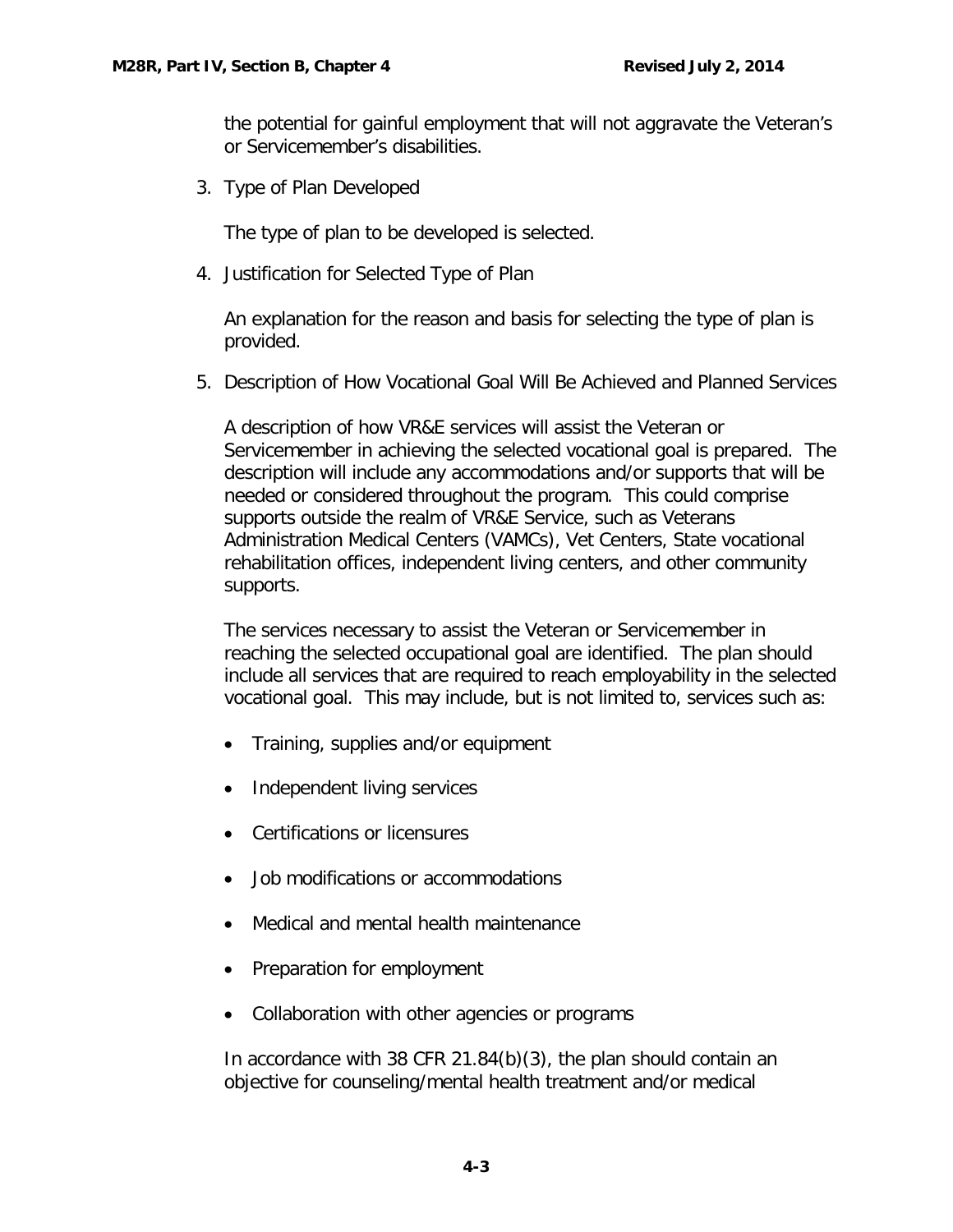the potential for gainful employment that will not aggravate the Veteran's or Servicemember's disabilities.

3. Type of Plan Developed

The type of plan to be developed is selected.

4. Justification for Selected Type of Plan

An explanation for the reason and basis for selecting the type of plan is provided.

5. Description of How Vocational Goal Will Be Achieved and Planned Services

A description of how VR&E services will assist the Veteran or Servicemember in achieving the selected vocational goal is prepared. The description will include any accommodations and/or supports that will be needed or considered throughout the program. This could comprise supports outside the realm of VR&E Service, such as Veterans Administration Medical Centers (VAMCs), Vet Centers, State vocational rehabilitation offices, independent living centers, and other community supports.

The services necessary to assist the Veteran or Servicemember in reaching the selected occupational goal are identified. The plan should include all services that are required to reach employability in the selected vocational goal. This may include, but is not limited to, services such as:

- Training, supplies and/or equipment
- Independent living services
- Certifications or licensures
- Job modifications or accommodations
- Medical and mental health maintenance
- Preparation for employment
- Collaboration with other agencies or programs

In accordance with 38 CFR 21.84(b)(3), the plan should contain an objective for counseling/mental health treatment and/or medical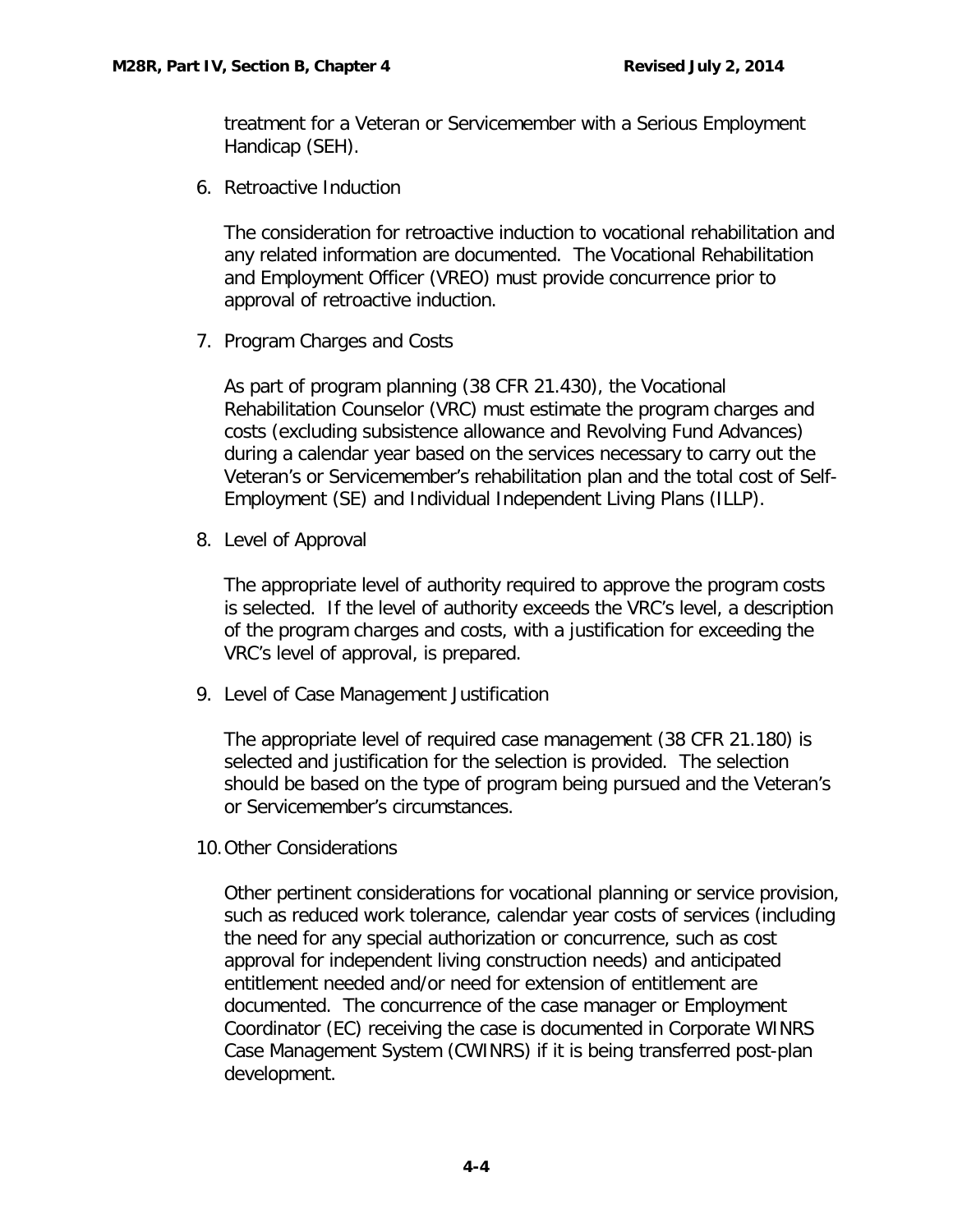treatment for a Veteran or Servicemember with a Serious Employment Handicap (SEH).

6. Retroactive Induction

The consideration for retroactive induction to vocational rehabilitation and any related information are documented. The Vocational Rehabilitation and Employment Officer (VREO) must provide concurrence prior to approval of retroactive induction.

7. Program Charges and Costs

As part of program planning (38 CFR 21.430), the Vocational Rehabilitation Counselor (VRC) must estimate the program charges and costs (excluding subsistence allowance and Revolving Fund Advances) during a calendar year based on the services necessary to carry out the Veteran's or Servicemember's rehabilitation plan and the total cost of Self-Employment (SE) and Individual Independent Living Plans (ILLP).

8. Level of Approval

The appropriate level of authority required to approve the program costs is selected. If the level of authority exceeds the VRC's level, a description of the program charges and costs, with a justification for exceeding the VRC's level of approval, is prepared.

9. Level of Case Management Justification

The appropriate level of required case management (38 CFR 21.180) is selected and justification for the selection is provided. The selection should be based on the type of program being pursued and the Veteran's or Servicemember's circumstances.

10.Other Considerations

Other pertinent considerations for vocational planning or service provision, such as reduced work tolerance, calendar year costs of services (including the need for any special authorization or concurrence, such as cost approval for independent living construction needs) and anticipated entitlement needed and/or need for extension of entitlement are documented. The concurrence of the case manager or Employment Coordinator (EC) receiving the case is documented in Corporate WINRS Case Management System (CWINRS) if it is being transferred post-plan development.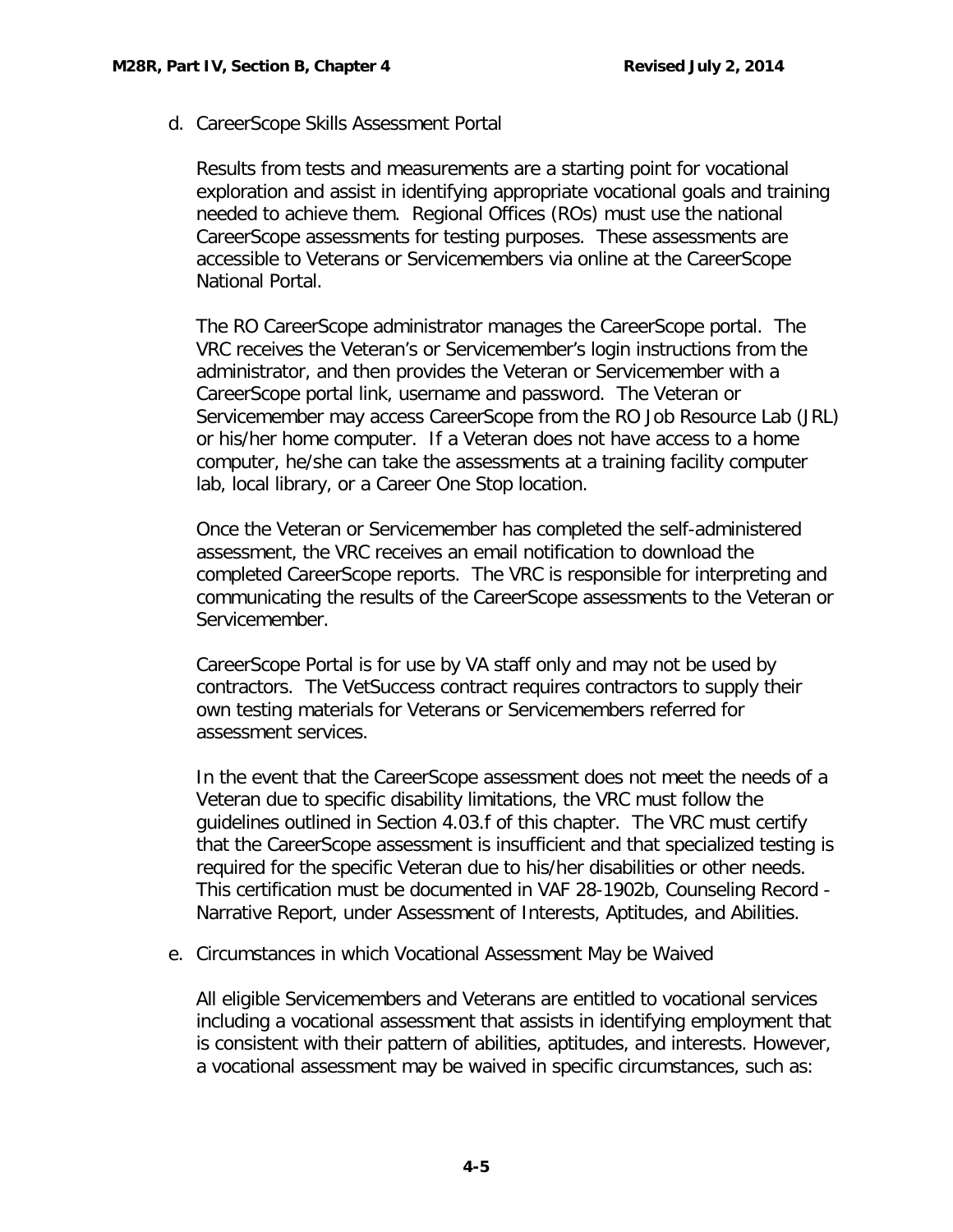<span id="page-5-0"></span>d. CareerScope Skills Assessment Portal

Results from tests and measurements are a starting point for vocational exploration and assist in identifying appropriate vocational goals and training needed to achieve them. Regional Offices (ROs) must use the national CareerScope assessments for testing purposes. These assessments are accessible to Veterans or Servicemembers via online at the CareerScope National Portal.

The RO CareerScope administrator manages the CareerScope portal. The VRC receives the Veteran's or Servicemember's login instructions from the administrator, and then provides the Veteran or Servicemember with a CareerScope portal link, username and password. The Veteran or Servicemember may access CareerScope from the RO Job Resource Lab (JRL) or his/her home computer. If a Veteran does not have access to a home computer, he/she can take the assessments at a training facility computer lab, local library, or a Career One Stop location.

Once the Veteran or Servicemember has completed the self-administered assessment, the VRC receives an email notification to download the completed CareerScope reports. The VRC is responsible for interpreting and communicating the results of the CareerScope assessments to the Veteran or Servicemember.

CareerScope Portal is for use by VA staff only and may not be used by contractors. The VetSuccess contract requires contractors to supply their own testing materials for Veterans or Servicemembers referred for assessment services.

In the event that the CareerScope assessment does not meet the needs of a Veteran due to specific disability limitations, the VRC must follow the guidelines outlined in Section 4.03.f of this chapter. The VRC must certify that the CareerScope assessment is insufficient and that specialized testing is required for the specific Veteran due to his/her disabilities or other needs. This certification must be documented in VAF 28-1902b, Counseling Record - Narrative Report, under Assessment of Interests, Aptitudes, and Abilities.

<span id="page-5-1"></span>e. Circumstances in which Vocational Assessment May be Waived

All eligible Servicemembers and Veterans are entitled to vocational services including a vocational assessment that assists in identifying employment that is consistent with their pattern of abilities, aptitudes, and interests. However, a vocational assessment may be waived in specific circumstances, such as: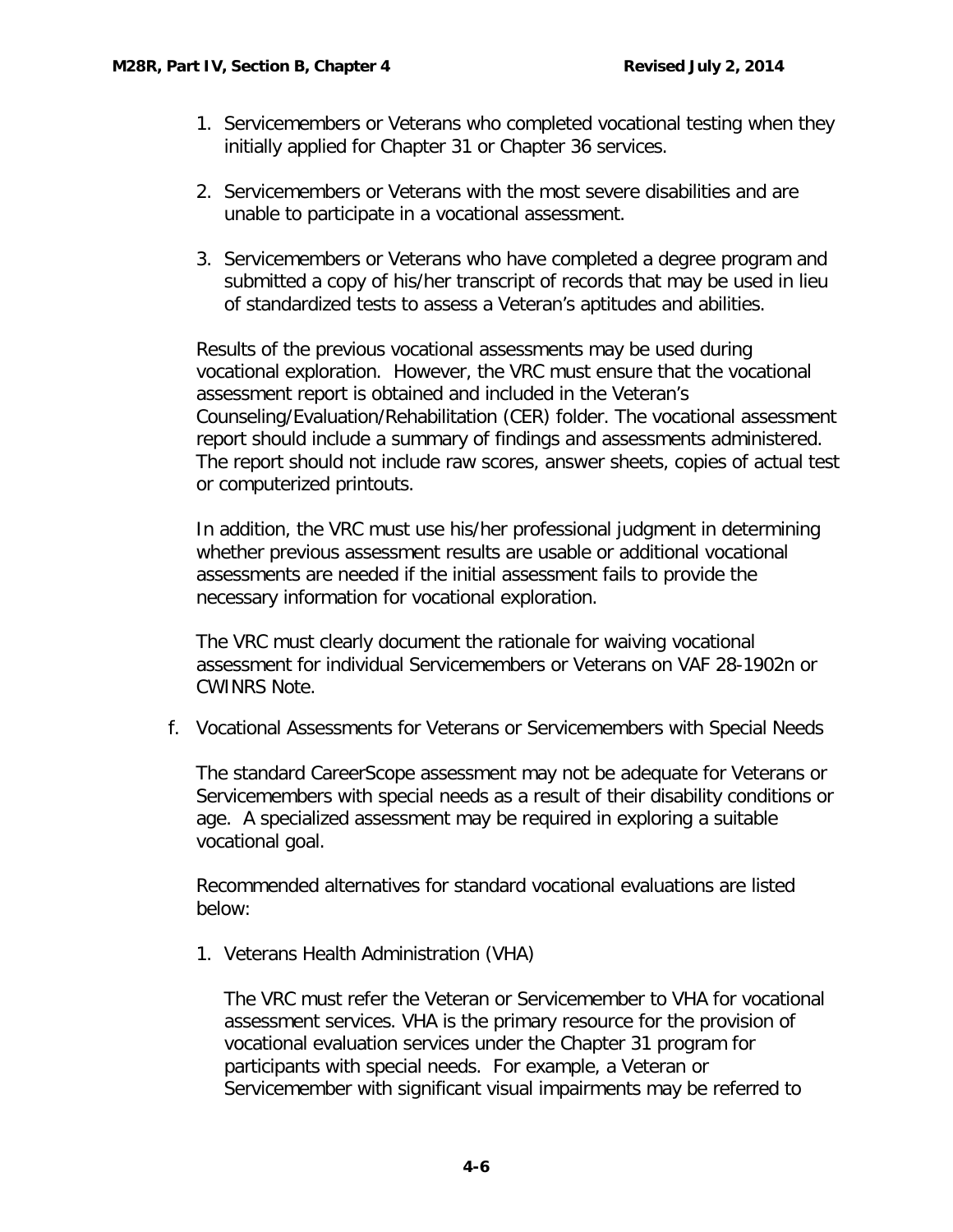- 1. Servicemembers or Veterans who completed vocational testing when they initially applied for Chapter 31 or Chapter 36 services.
- 2. Servicemembers or Veterans with the most severe disabilities and are unable to participate in a vocational assessment.
- 3. Servicemembers or Veterans who have completed a degree program and submitted a copy of his/her transcript of records that may be used in lieu of standardized tests to assess a Veteran's aptitudes and abilities.

Results of the previous vocational assessments may be used during vocational exploration. However, the VRC must ensure that the vocational assessment report is obtained and included in the Veteran's Counseling/Evaluation/Rehabilitation (CER) folder. The vocational assessment report should include a summary of findings and assessments administered. The report should not include raw scores, answer sheets, copies of actual test or computerized printouts.

In addition, the VRC must use his/her professional judgment in determining whether previous assessment results are usable or additional vocational assessments are needed if the initial assessment fails to provide the necessary information for vocational exploration.

The VRC must clearly document the rationale for waiving vocational assessment for individual Servicemembers or Veterans on VAF 28-1902n or CWINRS Note.

<span id="page-6-0"></span>f. Vocational Assessments for Veterans or Servicemembers with Special Needs

The standard CareerScope assessment may not be adequate for Veterans or Servicemembers with special needs as a result of their disability conditions or age. A specialized assessment may be required in exploring a suitable vocational goal.

Recommended alternatives for standard vocational evaluations are listed below:

1. Veterans Health Administration (VHA)

The VRC must refer the Veteran or Servicemember to VHA for vocational assessment services. VHA is the primary resource for the provision of vocational evaluation services under the Chapter 31 program for participants with special needs. For example, a Veteran or Servicemember with significant visual impairments may be referred to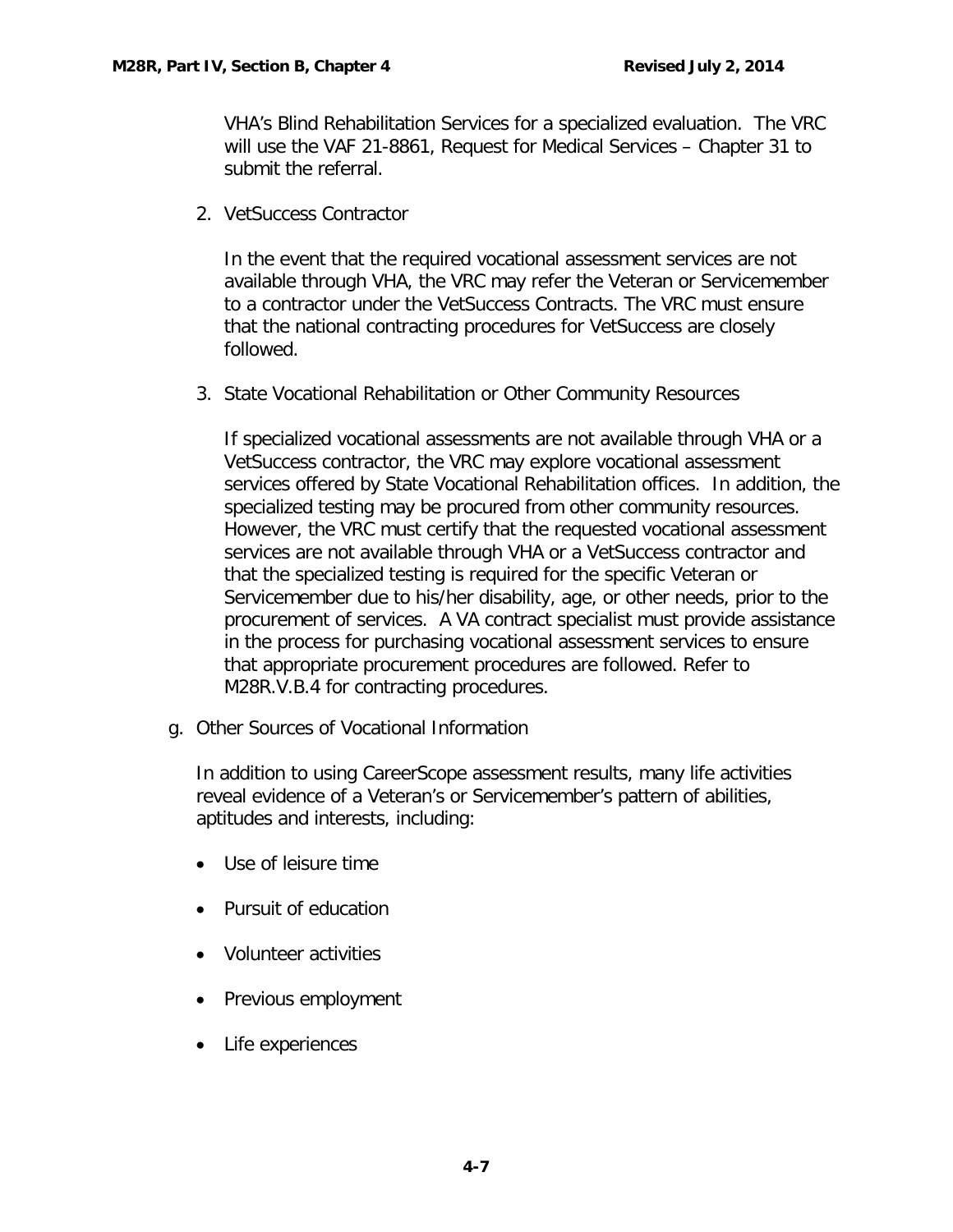VHA's Blind Rehabilitation Services for a specialized evaluation. The VRC will use the VAF 21-8861, Request for Medical Services – Chapter 31 to submit the referral.

2. VetSuccess Contractor

In the event that the required vocational assessment services are not available through VHA, the VRC may refer the Veteran or Servicemember to a contractor under the VetSuccess Contracts. The VRC must ensure that the national contracting procedures for VetSuccess are closely followed.

3. State Vocational Rehabilitation or Other Community Resources

If specialized vocational assessments are not available through VHA or a VetSuccess contractor, the VRC may explore vocational assessment services offered by State Vocational Rehabilitation offices. In addition, the specialized testing may be procured from other community resources. However, the VRC must certify that the requested vocational assessment services are not available through VHA or a VetSuccess contractor and that the specialized testing is required for the specific Veteran or Servicemember due to his/her disability, age, or other needs, prior to the procurement of services. A VA contract specialist must provide assistance in the process for purchasing vocational assessment services to ensure that appropriate procurement procedures are followed. Refer to M28R.V.B.4 for contracting procedures.

<span id="page-7-0"></span>g. Other Sources of Vocational Information

In addition to using CareerScope assessment results, many life activities reveal evidence of a Veteran's or Servicemember's pattern of abilities, aptitudes and interests, including:

- Use of leisure time
- Pursuit of education
- Volunteer activities
- Previous employment
- Life experiences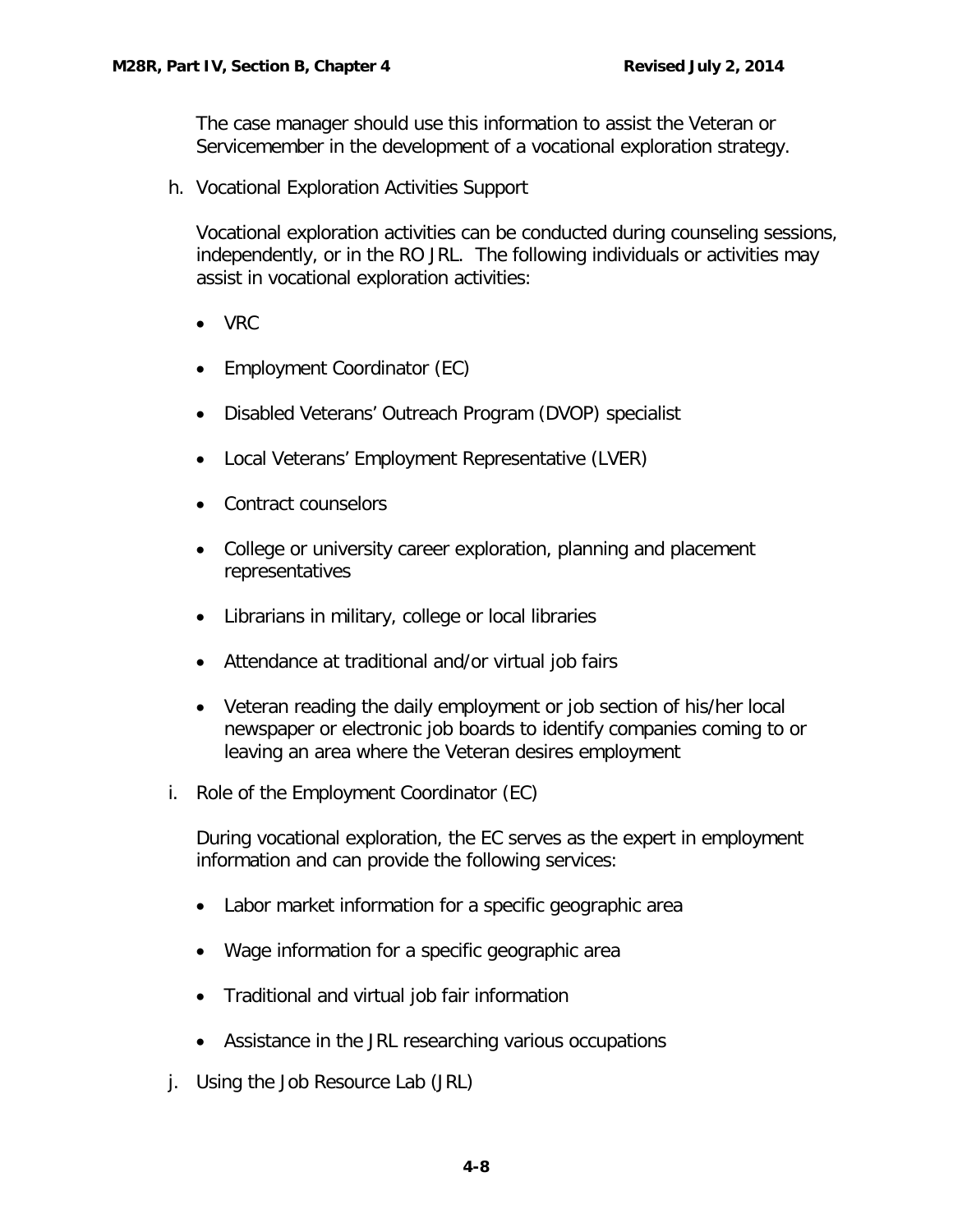The case manager should use this information to assist the Veteran or Servicemember in the development of a vocational exploration strategy.

<span id="page-8-0"></span>h. Vocational Exploration Activities Support

Vocational exploration activities can be conducted during counseling sessions, independently, or in the RO JRL. The following individuals or activities may assist in vocational exploration activities:

- VRC
- Employment Coordinator (EC)
- Disabled Veterans' Outreach Program (DVOP) specialist
- Local Veterans' Employment Representative (LVER)
- Contract counselors
- College or university career exploration, planning and placement representatives
- Librarians in military, college or local libraries
- Attendance at traditional and/or virtual job fairs
- Veteran reading the daily employment or job section of his/her local newspaper or electronic job boards to identify companies coming to or leaving an area where the Veteran desires employment
- <span id="page-8-1"></span>i. Role of the Employment Coordinator (EC)

During vocational exploration, the EC serves as the expert in employment information and can provide the following services:

- Labor market information for a specific geographic area
- Wage information for a specific geographic area
- Traditional and virtual job fair information
- Assistance in the JRL researching various occupations
- <span id="page-8-2"></span>j. Using the Job Resource Lab (JRL)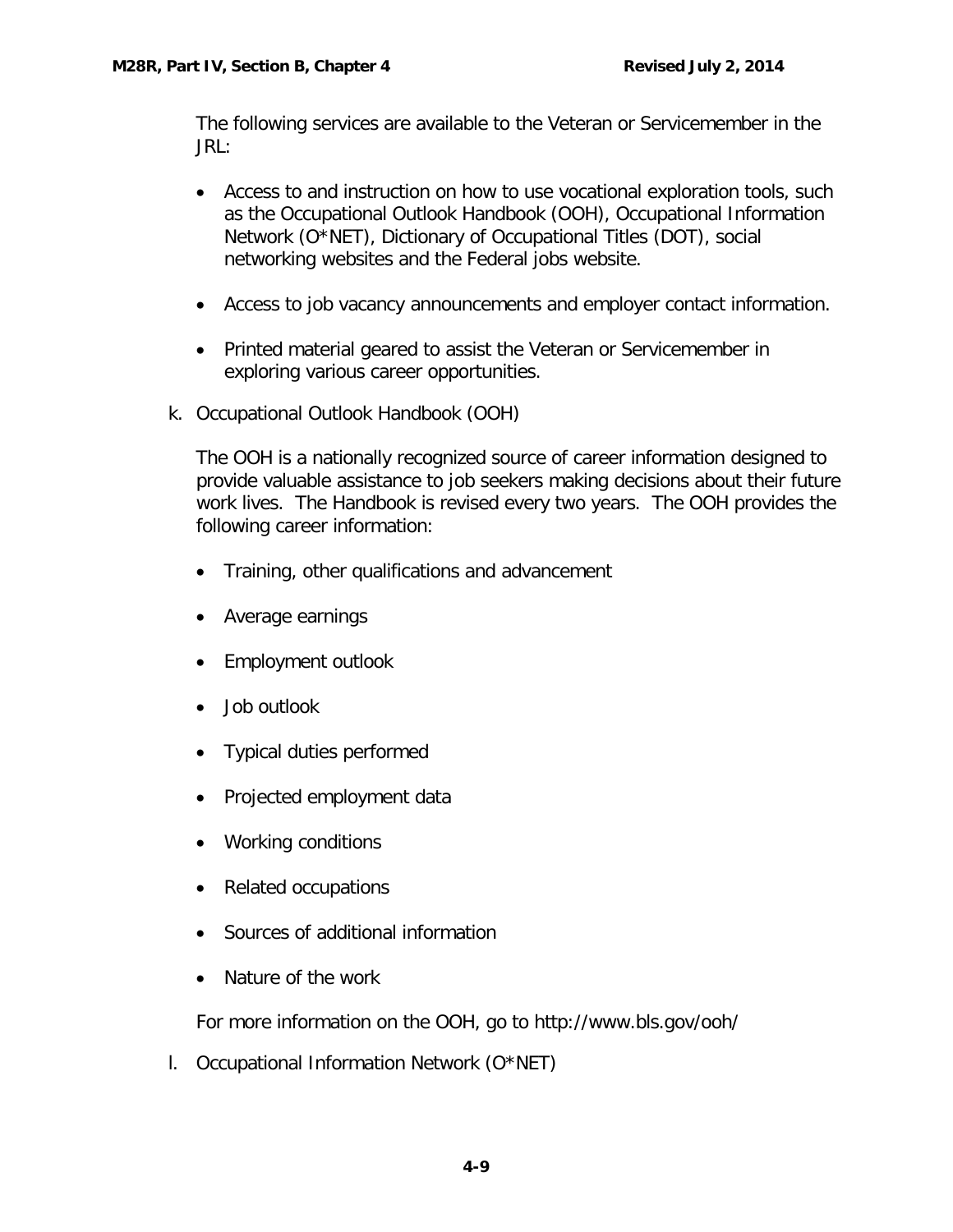The following services are available to the Veteran or Servicemember in the JRL:

- Access to and instruction on how to use vocational exploration tools, such as the Occupational Outlook Handbook (OOH), Occupational Information Network (O\*NET), Dictionary of Occupational Titles (DOT), social networking websites and the Federal jobs website.
- Access to job vacancy announcements and employer contact information.
- Printed material geared to assist the Veteran or Servicemember in exploring various career opportunities.
- <span id="page-9-0"></span>k. Occupational Outlook Handbook (OOH)

The OOH is a nationally recognized source of career information designed to provide valuable assistance to job seekers making decisions about their future work lives. The Handbook is revised every two years. The OOH provides the following career information:

- Training, other qualifications and advancement
- Average earnings
- Employment outlook
- Job outlook
- Typical duties performed
- Projected employment data
- Working conditions
- Related occupations
- Sources of additional information
- Nature of the work

For more information on the OOH, go to http://www.bls.gov/ooh/

<span id="page-9-1"></span>l. Occupational Information Network (O\*NET)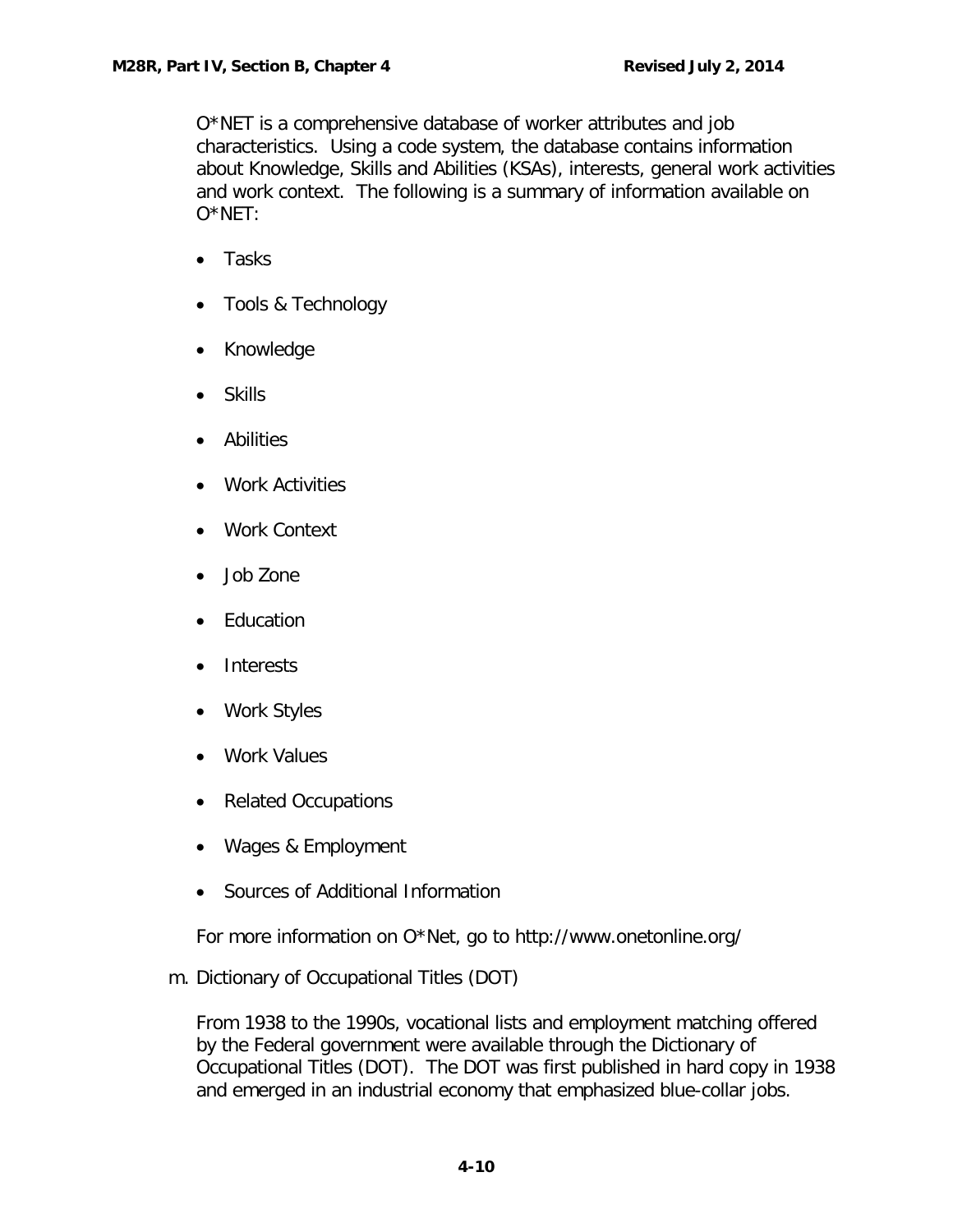O\*NET is a comprehensive database of worker attributes and job characteristics. Using a code system, the database contains information about Knowledge, Skills and Abilities (KSAs), interests, general work activities and work context. The following is a summary of information available on O\*NET:

- Tasks
- Tools & Technology
- Knowledge
- Skills
- Abilities
- Work Activities
- Work Context
- Job Zone
- Education
- Interests
- Work Styles
- Work Values
- Related Occupations
- Wages & Employment
- Sources of Additional Information

For more information on O\*Net, go to http://www.onetonline.org/

<span id="page-10-0"></span>m. Dictionary of Occupational Titles (DOT)

From 1938 to the 1990s, vocational lists and employment matching offered by the Federal government were available through the [Dictionary of](http://en.wikipedia.org/wiki/Dictionary_of_Occupational_Titles)  [Occupational Titles](http://en.wikipedia.org/wiki/Dictionary_of_Occupational_Titles) (DOT). The DOT was first published in hard copy in 1938 and emerged in an [industrial economy](http://en.wikipedia.org/wiki/Industrial_economy) that emphasized [blue-collar](http://en.wikipedia.org/wiki/Blue-collar) jobs.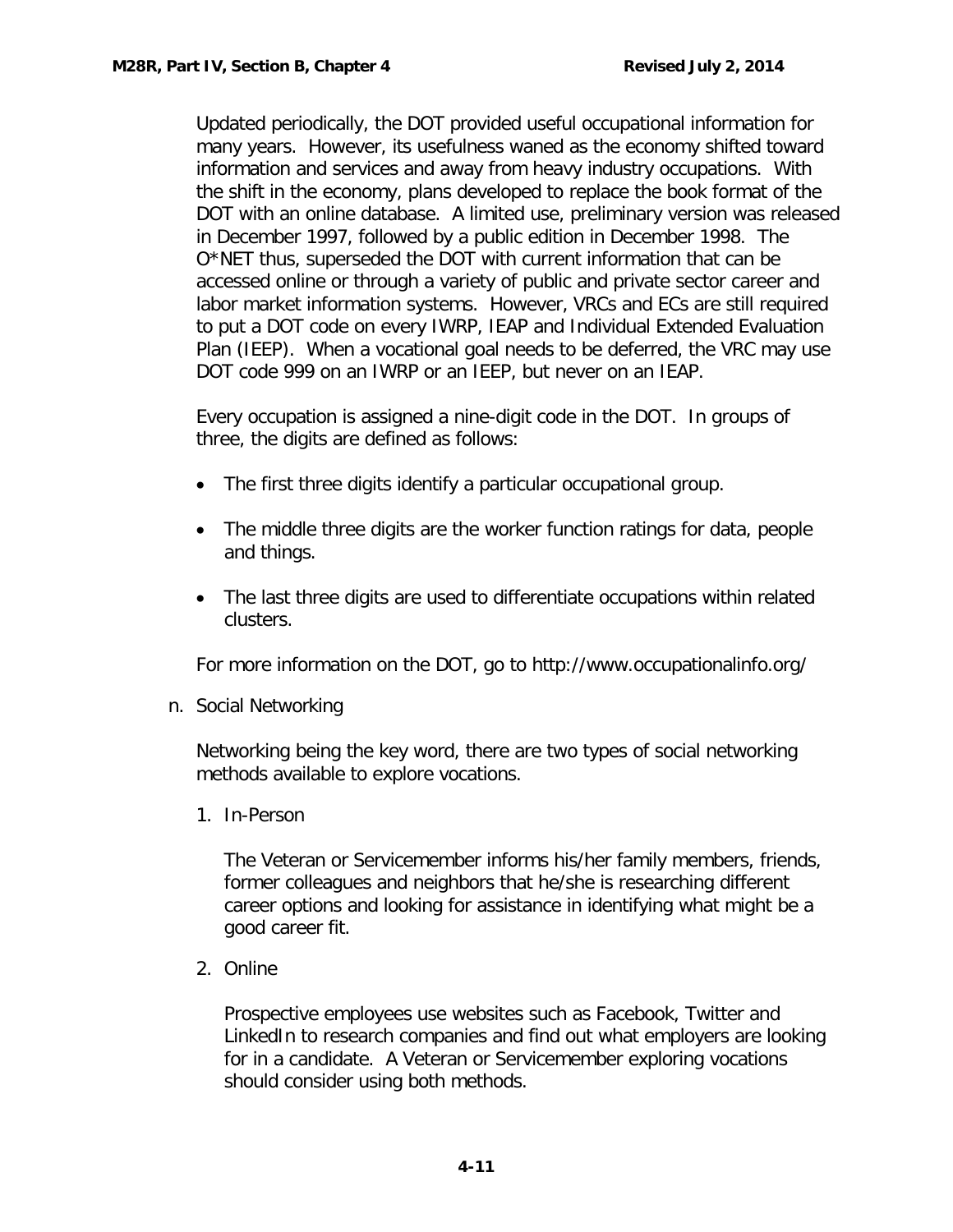Updated periodically, the DOT provided useful occupational information for many years. However, its usefulness waned as the economy shifted toward [information and services](http://en.wikipedia.org/wiki/Information_economy) and away from heavy industry occupations. With the shift in the economy, plans developed to replace the book format of the DOT with an online database. A limited use, preliminary version was released in December 1997, followed by a public edition in December 1998. The O\*NET thus, superseded the DOT with current information that can be accessed online or through a variety of public and private sector career and labor market information systems. However, VRCs and ECs are still required to put a DOT code on every IWRP, IEAP and Individual Extended Evaluation Plan (IEEP). When a vocational goal needs to be deferred, the VRC may use DOT code 999 on an IWRP or an IEEP, but never on an IEAP.

Every occupation is assigned a nine-digit code in the DOT. In groups of three, the digits are defined as follows:

- The first three digits identify a particular occupational group.
- The middle three digits are the worker function ratings for data, people and things.
- The last three digits are used to differentiate occupations within related clusters.

For more information on the DOT, go to http://www.occupationalinfo.org/

<span id="page-11-0"></span>n. Social Networking

Networking being the key word, there are two types of social networking methods available to explore vocations.

1. In-Person

The Veteran or Servicemember informs his/her family members, friends, former colleagues and neighbors that he/she is researching different career options and looking for assistance in identifying what might be a good career fit.

2. Online

Prospective employees use websites such as Facebook, Twitter and LinkedIn to research companies and find out what employers are looking for in a candidate. A Veteran or Servicemember exploring vocations should consider using both methods.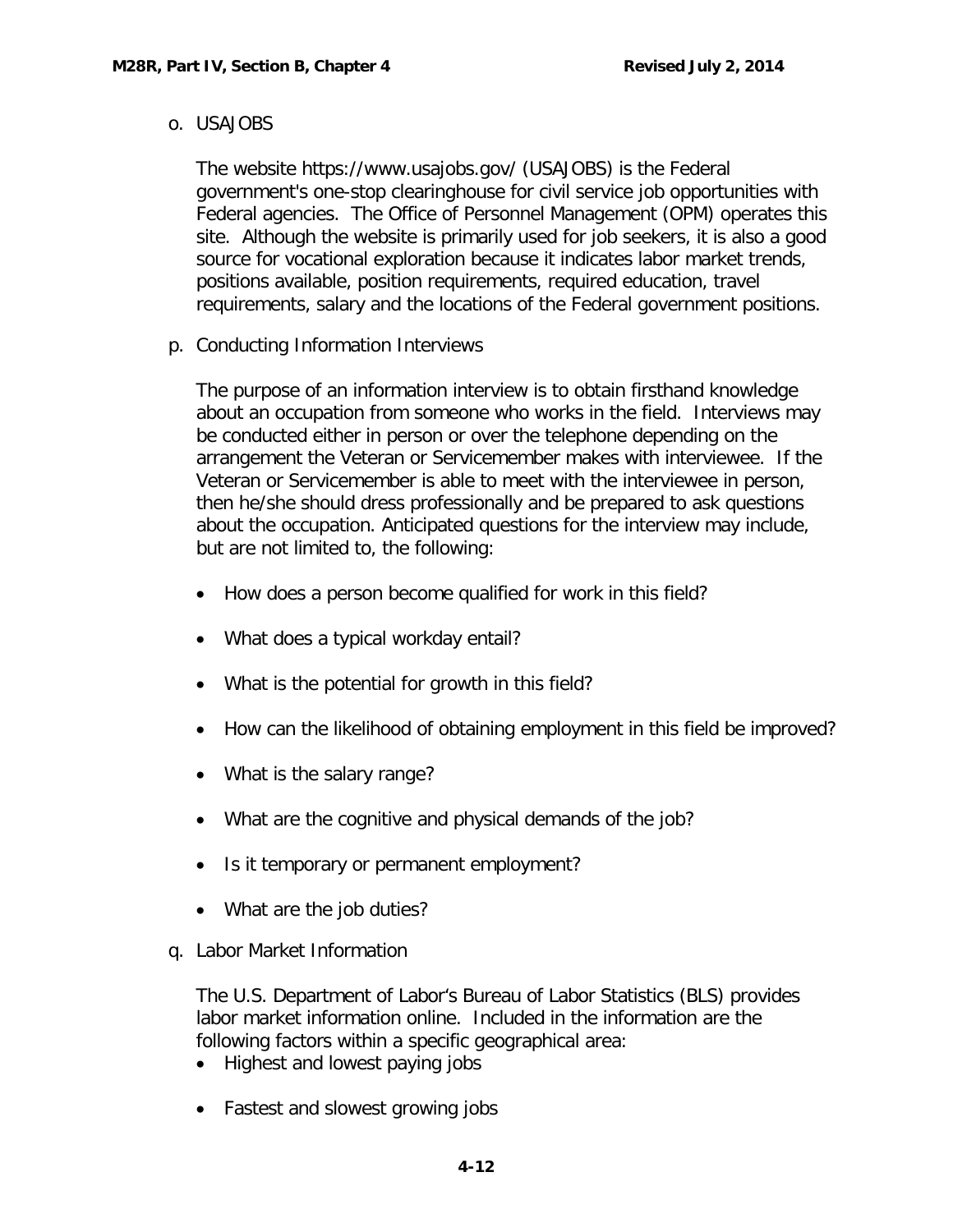## <span id="page-12-0"></span>o. USAJOBS

The website https://www.usajobs.gov/ (USAJOBS) is the [Federal](http://en.wikipedia.org/wiki/Federal_government_of_the_United_States)  [government'](http://en.wikipedia.org/wiki/Federal_government_of_the_United_States)s one-stop [clearinghouse](http://en.wikipedia.org/wiki/en.wiktionary.org/wiki/clearing_house) for [civil service](http://en.wikipedia.org/wiki/Civil_service) job opportunities with Federal agencies. The [Office of Personnel Management](http://en.wikipedia.org/wiki/Office_of_Personnel_Management) (OPM) operates this site. Although the website is primarily used for job seekers, it is also a good source for vocational exploration because it indicates labor market trends, positions available, position requirements, required education, travel requirements, salary and the locations of the Federal government positions.

<span id="page-12-1"></span>p. Conducting Information Interviews

The purpose of an information interview is to obtain firsthand knowledge about an occupation from someone who works in the field. Interviews may be conducted either in person or over the telephone depending on the arrangement the Veteran or Servicemember makes with interviewee. If the Veteran or Servicemember is able to meet with the interviewee in person, then he/she should dress professionally and be prepared to ask questions about the occupation. Anticipated questions for the interview may include, but are not limited to, the following:

- How does a person become qualified for work in this field?
- What does a typical workday entail?
- What is the potential for growth in this field?
- How can the likelihood of obtaining employment in this field be improved?
- What is the salary range?
- What are the cognitive and physical demands of the job?
- Is it temporary or permanent employment?
- What are the job duties?
- <span id="page-12-2"></span>q. Labor Market Information

The U.S. Department of Labor's Bureau of Labor Statistics (BLS) provides labor market information online. Included in the information are the following factors within a specific geographical area:

- Highest and lowest paying jobs
- Fastest and slowest growing jobs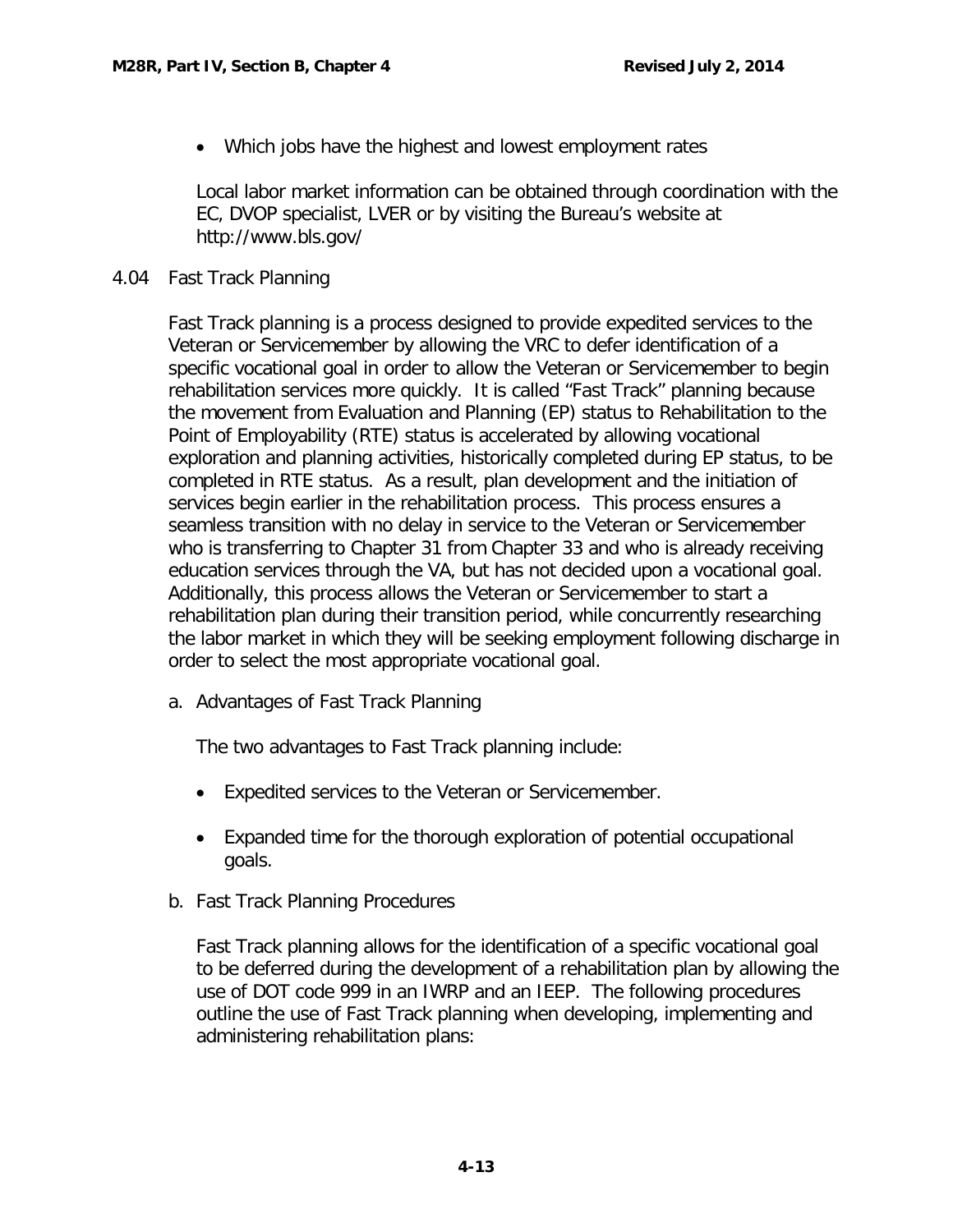• Which jobs have the highest and lowest employment rates

Local labor market information can be obtained through coordination with the EC, DVOP specialist, LVER or by visiting the Bureau's website at http://www.bls.gov/

# <span id="page-13-0"></span>4.04 Fast Track Planning

Fast Track planning is a process designed to provide expedited services to the Veteran or Servicemember by allowing the VRC to defer identification of a specific vocational goal in order to allow the Veteran or Servicemember to begin rehabilitation services more quickly. It is called "Fast Track" planning because the movement from Evaluation and Planning (EP) status to Rehabilitation to the Point of Employability (RTE) status is accelerated by allowing vocational exploration and planning activities, historically completed during EP status, to be completed in RTE status. As a result, plan development and the initiation of services begin earlier in the rehabilitation process. This process ensures a seamless transition with no delay in service to the Veteran or Servicemember who is transferring to Chapter 31 from Chapter 33 and who is already receiving education services through the VA, but has not decided upon a vocational goal. Additionally, this process allows the Veteran or Servicemember to start a rehabilitation plan during their transition period, while concurrently researching the labor market in which they will be seeking employment following discharge in order to select the most appropriate vocational goal.

<span id="page-13-1"></span>a. Advantages of Fast Track Planning

The two advantages to Fast Track planning include:

- Expedited services to the Veteran or Servicemember.
- Expanded time for the thorough exploration of potential occupational goals.
- <span id="page-13-2"></span>b. Fast Track Planning Procedures

Fast Track planning allows for the identification of a specific vocational goal to be deferred during the development of a rehabilitation plan by allowing the use of DOT code 999 in an IWRP and an IEEP. The following procedures outline the use of Fast Track planning when developing, implementing and administering rehabilitation plans: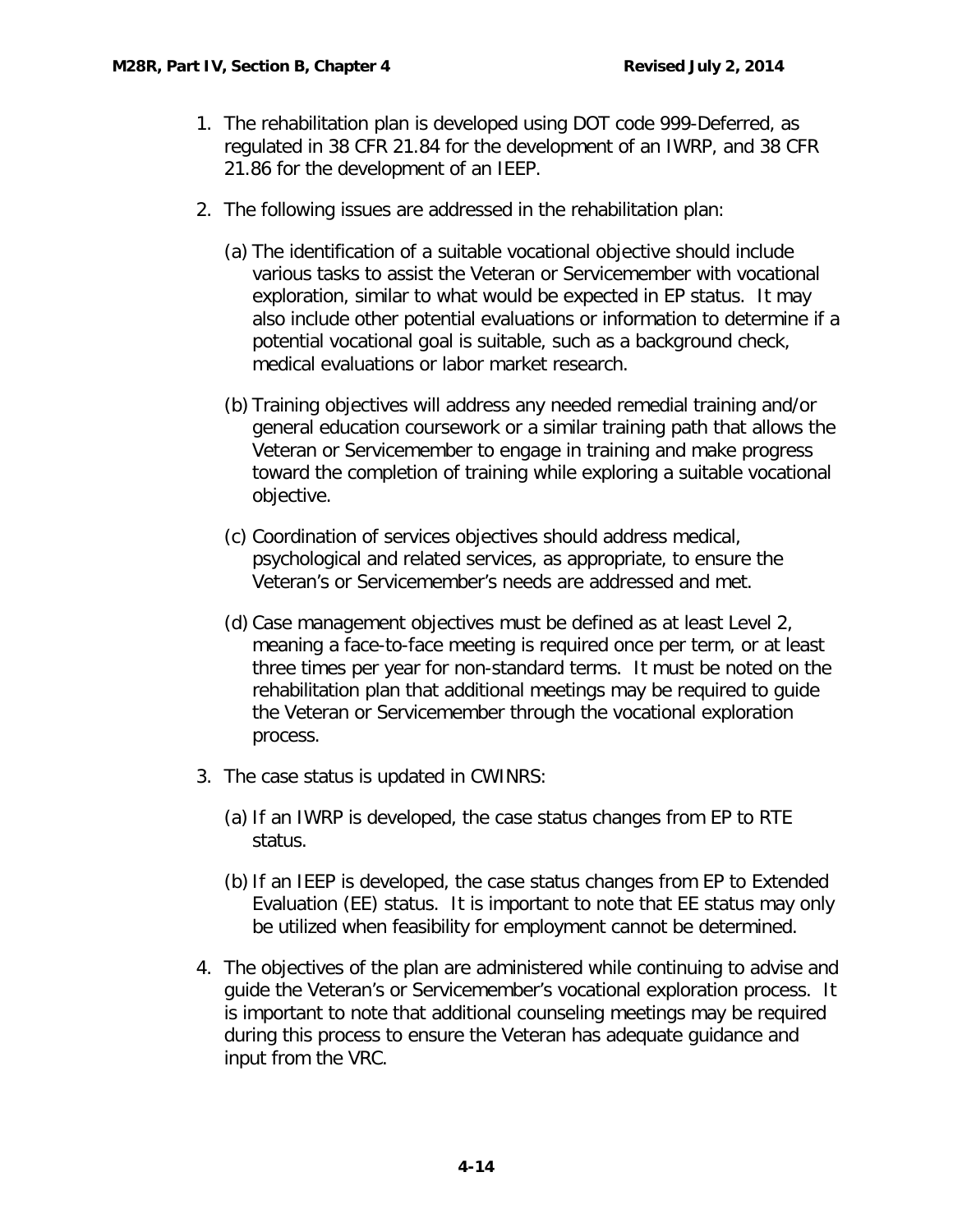- 1. The rehabilitation plan is developed using DOT code 999-Deferred, as regulated in 38 CFR 21.84 for the development of an IWRP, and 38 CFR 21.86 for the development of an IEEP.
- 2. The following issues are addressed in the rehabilitation plan:
	- (a) The identification of a suitable vocational objective should include various tasks to assist the Veteran or Servicemember with vocational exploration, similar to what would be expected in EP status. It may also include other potential evaluations or information to determine if a potential vocational goal is suitable, such as a background check, medical evaluations or labor market research.
	- (b) Training objectives will address any needed remedial training and/or general education coursework or a similar training path that allows the Veteran or Servicemember to engage in training and make progress toward the completion of training while exploring a suitable vocational objective.
	- (c) Coordination of services objectives should address medical, psychological and related services, as appropriate, to ensure the Veteran's or Servicemember's needs are addressed and met.
	- (d) Case management objectives must be defined as at least Level 2, meaning a face-to-face meeting is required once per term, or at least three times per year for non-standard terms. It must be noted on the rehabilitation plan that additional meetings may be required to guide the Veteran or Servicemember through the vocational exploration process.
- 3. The case status is updated in CWINRS:
	- (a) If an IWRP is developed, the case status changes from EP to RTE status.
	- (b) If an IEEP is developed, the case status changes from EP to Extended Evaluation (EE) status. It is important to note that EE status may only be utilized when feasibility for employment cannot be determined.
- 4. The objectives of the plan are administered while continuing to advise and guide the Veteran's or Servicemember's vocational exploration process. It is important to note that additional counseling meetings may be required during this process to ensure the Veteran has adequate guidance and input from the VRC.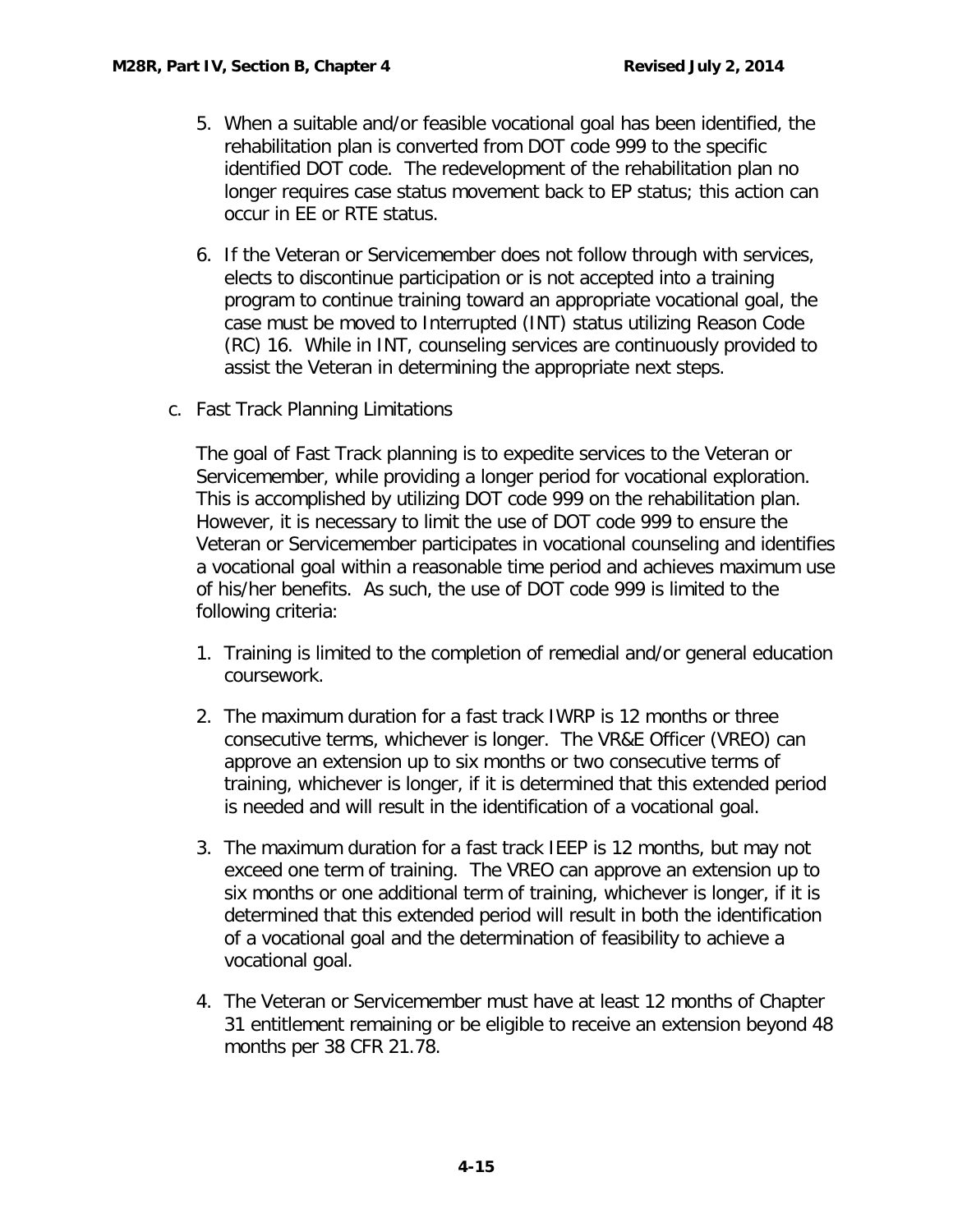- 5. When a suitable and/or feasible vocational goal has been identified, the rehabilitation plan is converted from DOT code 999 to the specific identified DOT code. The redevelopment of the rehabilitation plan no longer requires case status movement back to EP status; this action can occur in EE or RTE status.
- 6. If the Veteran or Servicemember does not follow through with services, elects to discontinue participation or is not accepted into a training program to continue training toward an appropriate vocational goal, the case must be moved to Interrupted (INT) status utilizing Reason Code (RC) 16. While in INT, counseling services are continuously provided to assist the Veteran in determining the appropriate next steps.
- <span id="page-15-0"></span>c. Fast Track Planning Limitations

The goal of Fast Track planning is to expedite services to the Veteran or Servicemember, while providing a longer period for vocational exploration. This is accomplished by utilizing DOT code 999 on the rehabilitation plan. However, it is necessary to limit the use of DOT code 999 to ensure the Veteran or Servicemember participates in vocational counseling and identifies a vocational goal within a reasonable time period and achieves maximum use of his/her benefits. As such, the use of DOT code 999 is limited to the following criteria:

- 1. Training is limited to the completion of remedial and/or general education coursework.
- 2. The maximum duration for a fast track IWRP is 12 months or three consecutive terms, whichever is longer. The VR&E Officer (VREO) can approve an extension up to six months or two consecutive terms of training, whichever is longer, if it is determined that this extended period is needed and will result in the identification of a vocational goal.
- 3. The maximum duration for a fast track IEEP is 12 months, but may not exceed one term of training. The VREO can approve an extension up to six months or one additional term of training, whichever is longer, if it is determined that this extended period will result in both the identification of a vocational goal and the determination of feasibility to achieve a vocational goal.
- 4. The Veteran or Servicemember must have at least 12 months of Chapter 31 entitlement remaining or be eligible to receive an extension beyond 48 months per 38 CFR 21.78.